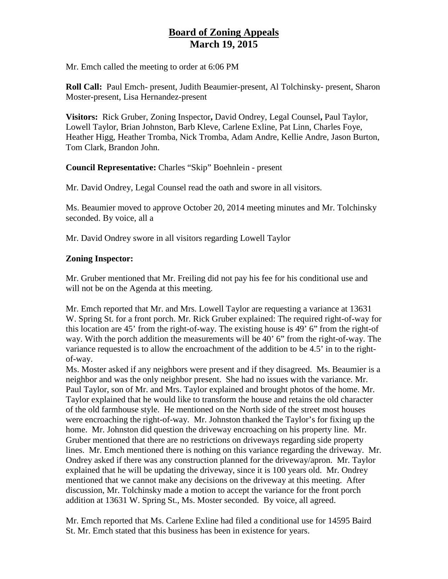## **Board of Zoning Appeals March 19, 2015**

Mr. Emch called the meeting to order at 6:06 PM

**Roll Call:** Paul Emch- present, Judith Beaumier-present, Al Tolchinsky- present, Sharon Moster-present, Lisa Hernandez-present

**Visitors:** Rick Gruber, Zoning Inspector**,** David Ondrey, Legal Counsel**,** Paul Taylor, Lowell Taylor, Brian Johnston, Barb Kleve, Carlene Exline, Pat Linn, Charles Foye, Heather Higg, Heather Tromba, Nick Tromba, Adam Andre, Kellie Andre, Jason Burton, Tom Clark, Brandon John.

**Council Representative:** Charles "Skip" Boehnlein - present

Mr. David Ondrey, Legal Counsel read the oath and swore in all visitors.

Ms. Beaumier moved to approve October 20, 2014 meeting minutes and Mr. Tolchinsky seconded. By voice, all a

Mr. David Ondrey swore in all visitors regarding Lowell Taylor

## **Zoning Inspector:**

Mr. Gruber mentioned that Mr. Freiling did not pay his fee for his conditional use and will not be on the Agenda at this meeting.

Mr. Emch reported that Mr. and Mrs. Lowell Taylor are requesting a variance at 13631 W. Spring St. for a front porch. Mr. Rick Gruber explained: The required right-of-way for this location are 45' from the right-of-way. The existing house is 49' 6" from the right-of way. With the porch addition the measurements will be 40' 6" from the right-of-way. The variance requested is to allow the encroachment of the addition to be 4.5' in to the rightof-way.

Ms. Moster asked if any neighbors were present and if they disagreed. Ms. Beaumier is a neighbor and was the only neighbor present. She had no issues with the variance. Mr. Paul Taylor, son of Mr. and Mrs. Taylor explained and brought photos of the home. Mr. Taylor explained that he would like to transform the house and retains the old character of the old farmhouse style. He mentioned on the North side of the street most houses were encroaching the right-of-way. Mr. Johnston thanked the Taylor's for fixing up the home. Mr. Johnston did question the driveway encroaching on his property line. Mr. Gruber mentioned that there are no restrictions on driveways regarding side property lines. Mr. Emch mentioned there is nothing on this variance regarding the driveway. Mr. Ondrey asked if there was any construction planned for the driveway/apron. Mr. Taylor explained that he will be updating the driveway, since it is 100 years old. Mr. Ondrey mentioned that we cannot make any decisions on the driveway at this meeting. After discussion, Mr. Tolchinsky made a motion to accept the variance for the front porch addition at 13631 W. Spring St., Ms. Moster seconded. By voice, all agreed.

Mr. Emch reported that Ms. Carlene Exline had filed a conditional use for 14595 Baird St. Mr. Emch stated that this business has been in existence for years.